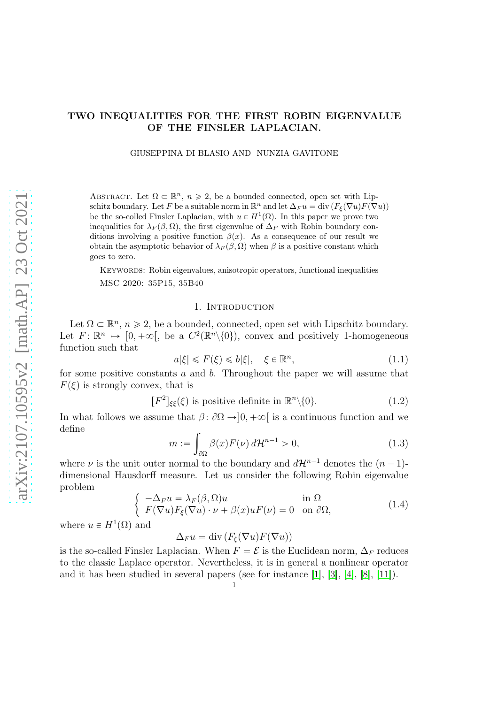## TWO INEQUALITIES FOR THE FIRST ROBIN EIGENVALUE OF THE FINSLER LAPLACIAN.

GIUSEPPINA DI BLASIO AND NUNZIA GAVITONE

ABSTRACT. Let  $\Omega \subset \mathbb{R}^n$ ,  $n \geq 2$ , be a bounded connected, open set with Lipschitz boundary. Let F be a suitable norm in  $\mathbb{R}^n$  and let  $\Delta_F u = \text{div} (F_{\xi}(\nabla u) F(\nabla u))$ be the so-colled Finsler Laplacian, with  $u \in H^1(\Omega)$ . In this paper we prove two inequalities for  $\lambda_F(\beta, \Omega)$ , the first eigenvalue of  $\Delta_F$  with Robin boundary conditions involving a positive function  $\beta(x)$ . As a consequence of our result we obtain the asymptotic behavior of  $\lambda_F(\beta, \Omega)$  when  $\beta$  is a positive constant which goes to zero.

Keywords: Robin eigenvalues, anisotropic operators, functional inequalities MSC 2020: 35P15, 35B40

### 1. INTRODUCTION

Let  $\Omega \subset \mathbb{R}^n$ ,  $n \geq 2$ , be a bounded, connected, open set with Lipschitz boundary. Let  $F: \mathbb{R}^n \mapsto [0, +\infty[,$  be a  $C^2(\mathbb{R}^n\setminus\{0\}),$  convex and positively 1-homogeneous function such that

$$
a|\xi| \leqslant F(\xi) \leqslant b|\xi|, \quad \xi \in \mathbb{R}^n,\tag{1.1}
$$

for some positive constants  $a$  and  $b$ . Throughout the paper we will assume that  $F(\xi)$  is strongly convex, that is

$$
[F2]_{\xi\xi}(\xi) \text{ is positive definite in } \mathbb{R}^n \setminus \{0\}. \tag{1.2}
$$

In what follows we assume that  $\beta$ :  $\partial\Omega \rightarrow ]0, +\infty[$  is a continuous function and we define

<span id="page-0-1"></span>
$$
m := \int_{\partial \Omega} \beta(x) F(\nu) d\mathcal{H}^{n-1} > 0,
$$
\n(1.3)

where  $\nu$  is the unit outer normal to the boundary and  $d\mathcal{H}^{n-1}$  denotes the  $(n-1)$ dimensional Hausdorff measure. Let us consider the following Robin eigenvalue problem

<span id="page-0-0"></span>
$$
\begin{cases}\n-\Delta_F u = \lambda_F(\beta, \Omega) u & \text{in } \Omega \\
F(\nabla u) F_{\xi}(\nabla u) \cdot \nu + \beta(x) u F(\nu) = 0 & \text{on } \partial \Omega,\n\end{cases}
$$
\n(1.4)

where  $u \in H^1(\Omega)$  and

 $\Delta_F u = \text{div} \left( F_{\xi}(\nabla u) F(\nabla u) \right)$ 

is the so-called Finsler Laplacian. When  $F = \mathcal{E}$  is the Euclidean norm,  $\Delta_F$  reduces to the classic Laplace operator. Nevertheless, it is in general a nonlinear operator and it has been studied in several papers (see for instance [\[1\]](#page-7-0), [\[3\]](#page-7-1), [\[4\]](#page-7-2), [\[8\]](#page-7-3), [\[11\]](#page-7-4)).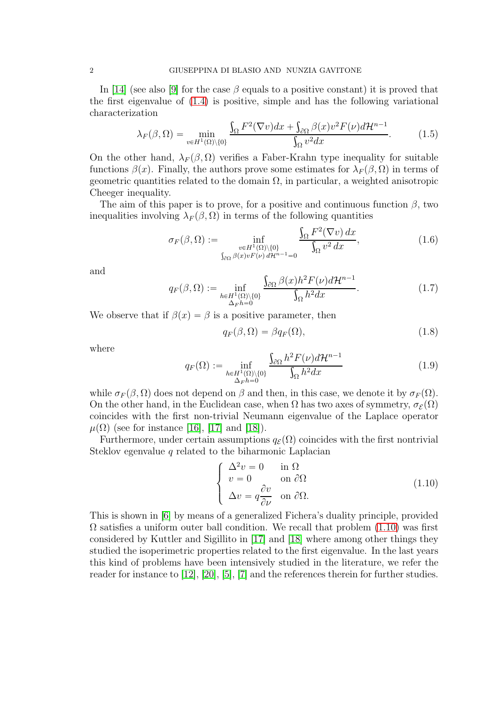In [\[14\]](#page-7-5) (see also [\[9\]](#page-7-6) for the case  $\beta$  equals to a positive constant) it is proved that the first eigenvalue of [\(1.4\)](#page-0-0) is positive, simple and has the following variational characterization

<span id="page-1-2"></span>
$$
\lambda_F(\beta,\Omega) = \min_{v \in H^1(\Omega) \setminus \{0\}} \frac{\int_{\Omega} F^2(\nabla v) dx + \int_{\partial \Omega} \beta(x) v^2 F(\nu) d\mathcal{H}^{n-1}}{\int_{\Omega} v^2 dx}.
$$
 (1.5)

On the other hand,  $\lambda_F(\beta, \Omega)$  verifies a Faber-Krahn type inequality for suitable functions  $\beta(x)$ . Finally, the authors prove some estimates for  $\lambda_F(\beta, \Omega)$  in terms of geometric quantities related to the domain  $\Omega$ , in particular, a weighted anisotropic Cheeger inequality.

The aim of this paper is to prove, for a positive and continuous function  $\beta$ , two inequalities involving  $\lambda_F(\beta, \Omega)$  in terms of the following quantities

<span id="page-1-1"></span>
$$
\sigma_F(\beta,\Omega) := \inf_{\substack{v \in H^1(\Omega) \setminus \{0\} \\ \int_{\partial\Omega} \beta(x)vF(\nu) d\mathcal{H}^{n-1} = 0}} \frac{\int_{\Omega} F^2(\nabla v) dx}{\int_{\Omega} v^2 dx},
$$
\n(1.6)

and

<span id="page-1-3"></span>
$$
q_F(\beta,\Omega) := \inf_{\substack{h \in H^1(\Omega) \setminus \{0\} \\ \Delta_F h = 0}} \frac{\int_{\partial\Omega} \beta(x) h^2 F(\nu) d\mathcal{H}^{n-1}}{\int_{\Omega} h^2 dx}.
$$
 (1.7)

We observe that if  $\beta(x) = \beta$  is a positive parameter, then

<span id="page-1-4"></span>
$$
q_F(\beta, \Omega) = \beta q_F(\Omega), \qquad (1.8)
$$

where

<span id="page-1-5"></span>
$$
q_F(\Omega) := \inf_{\substack{h \in H^1(\Omega) \setminus \{0\} \\ \Delta_F h = 0}} \frac{\int_{\partial \Omega} h^2 F(\nu) d\mathcal{H}^{n-1}}{\int_{\Omega} h^2 dx} \tag{1.9}
$$

while  $\sigma_F(\beta, \Omega)$  does not depend on  $\beta$  and then, in this case, we denote it by  $\sigma_F(\Omega)$ . On the other hand, in the Euclidean case, when  $\Omega$  has two axes of symmetry,  $\sigma_{\mathcal{E}}(\Omega)$ coincides with the first non-trivial Neumann eigenvalue of the Laplace operator  $\mu(\Omega)$  (see for instance [\[16\]](#page-7-7), [\[17\]](#page-7-8) and [\[18\]](#page-7-9)).

Furthermore, under certain assumptions  $q_{\mathcal{E}}(\Omega)$  coincides with the first nontrivial Steklov egenvalue  $q$  related to the biharmonic Laplacian

<span id="page-1-0"></span>
$$
\begin{cases}\n\Delta^2 v = 0 & \text{in } \Omega \\
v = 0 & \text{on } \partial\Omega \\
\Delta v = q \frac{\partial v}{\partial \nu} & \text{on } \partial\Omega.\n\end{cases}
$$
\n(1.10)

This is shown in [\[6\]](#page-7-10) by means of a generalized Fichera's duality principle, provided  $\Omega$  satisfies a uniform outer ball condition. We recall that problem  $(1.10)$  was first considered by Kuttler and Sigillito in [\[17\]](#page-7-8) and [\[18\]](#page-7-9) where among other things they studied the isoperimetric properties related to the first eigenvalue. In the last years this kind of problems have been intensively studied in the literature, we refer the reader for instance to [\[12\]](#page-7-11), [\[20\]](#page-7-12), [\[5\]](#page-7-13), [\[7\]](#page-7-14) and the references therein for further studies.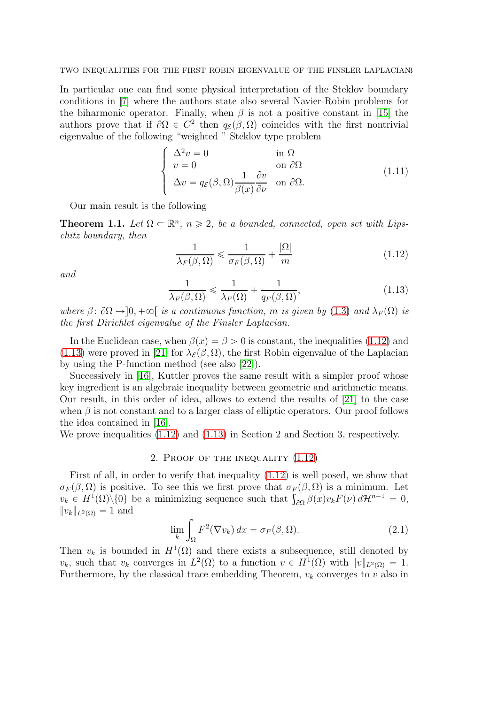TWO INEQUALITIES FOR THE FIRST ROBIN EIGENVALUE OF THE FINSLER LAPLACIANS

In particular one can find some physical interpretation of the Steklov boundary conditions in [\[7\]](#page-7-14) where the authors state also several Navier-Robin problems for the biharmonic operator. Finally, when  $\beta$  is not a positive constant in [\[15\]](#page-7-15) the authors prove that if  $\partial\Omega \in C^2$  then  $q_{\mathcal{E}}(\beta, \Omega)$  coincides with the first nontrivial eigenvalue of the following "weighted " Steklov type problem

$$
\begin{cases}\n\Delta^2 v = 0 & \text{in } \Omega \\
v = 0 & \text{on } \partial\Omega \\
\Delta v = q_{\mathcal{E}}(\beta, \Omega) \frac{1}{\beta(x)} \frac{\partial v}{\partial \nu} & \text{on } \partial\Omega.\n\end{cases}
$$
\n(1.11)

Our main result is the following

**Theorem 1.1.** Let  $\Omega \subset \mathbb{R}^n$ ,  $n \geq 2$ , be a bounded, connected, open set with Lipschitz boundary, then

<span id="page-2-0"></span>
$$
\frac{1}{\lambda_F(\beta,\Omega)} \leq \frac{1}{\sigma_F(\beta,\Omega)} + \frac{|\Omega|}{m}
$$
\n(1.12)

and

<span id="page-2-1"></span>
$$
\frac{1}{\lambda_F(\beta,\Omega)} \leq \frac{1}{\lambda_F(\Omega)} + \frac{1}{q_F(\beta,\Omega)},\tag{1.13}
$$

where  $\beta: \partial\Omega \to ]0, +\infty[$  is a continuous function, m is given by [\(1.3\)](#page-0-1) and  $\lambda_F(\Omega)$  is the first Dirichlet eigenvalue of the Finsler Laplacian.

In the Euclidean case, when  $\beta(x) = \beta > 0$  is constant, the inequalities [\(1.12\)](#page-2-0) and [\(1.13\)](#page-2-1) were proved in [\[21\]](#page-7-16) for  $\lambda_{\mathcal{E}}(\beta, \Omega)$ , the first Robin eigenvalue of the Laplacian by using the P-function method (see also [\[22\]](#page-7-17)).

Successively in [\[16\]](#page-7-7), Kuttler proves the same result with a simpler proof whose key ingredient is an algebraic inequality between geometric and arithmetic means. Our result, in this order of idea, allows to extend the results of [\[21\]](#page-7-16) to the case when  $\beta$  is not constant and to a larger class of elliptic operators. Our proof follows the idea contained in [\[16\]](#page-7-7).

We prove inequalities [\(1.12\)](#page-2-0) and [\(1.13\)](#page-2-1) in Section 2 and Section 3, respectively.

## 2. Proof of the inequality [\(1.12\)](#page-2-0)

First of all, in order to verify that inequality [\(1.12\)](#page-2-0) is well posed, we show that  $\sigma_F(\beta, \Omega)$  is positive. To see this we first prove that  $\sigma_F(\beta, \Omega)$  is a minimum. Let  $v_k \in H^1(\Omega) \setminus \{0\}$  be a minimizing sequence such that  $\int_{\partial \Omega} \beta(x) v_k F(\nu) d\mathcal{H}^{n-1} = 0$ ,  $||v_k||_{L^2(\Omega)} = 1$  and

$$
\lim_{k} \int_{\Omega} F^2(\nabla v_k) dx = \sigma_F(\beta, \Omega). \tag{2.1}
$$

Then  $v_k$  is bounded in  $H^1(\Omega)$  and there exists a subsequence, still denoted by  $v_k$ , such that  $v_k$  converges in  $L^2(\Omega)$  to a function  $v \in H^1(\Omega)$  with  $||v||_{L^2(\Omega)} = 1$ . Furthermore, by the classical trace embedding Theorem,  $v_k$  converges to v also in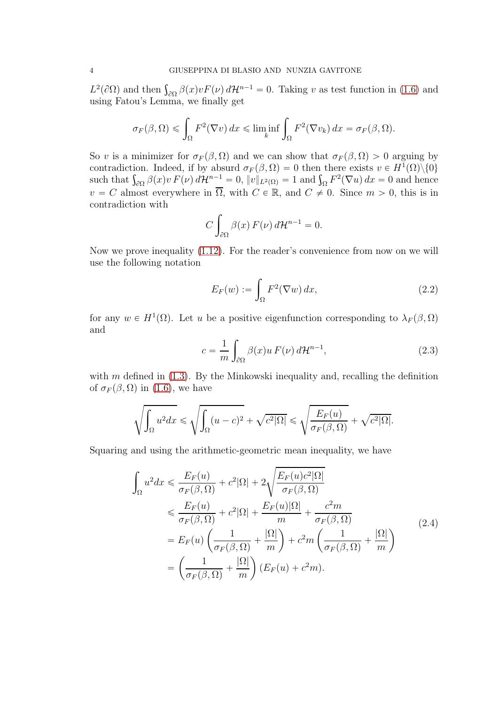$L^2(\partial\Omega)$  and then  $\int_{\partial\Omega} \beta(x) v F(\nu) d\mathcal{H}^{n-1} = 0$ . Taking v as test function in [\(1.6\)](#page-1-1) and using Fatou's Lemma, we finally get

$$
\sigma_F(\beta,\Omega) \leq \int_{\Omega} F^2(\nabla v) \, dx \leq \liminf_k \int_{\Omega} F^2(\nabla v_k) \, dx = \sigma_F(\beta,\Omega).
$$

So v is a minimizer for  $\sigma_F(\beta, \Omega)$  and we can show that  $\sigma_F(\beta, \Omega) > 0$  arguing by contradiction. Indeed, if by absurd  $\sigma_F(\beta, \Omega) = 0$  then there exists  $v \in H^1(\Omega) \setminus \{0\}$ such that  $\int_{\partial\Omega} \beta(x)v F(\nu) d\mathcal{H}^{n-1} = 0$ ,  $||v||_{L^2(\Omega)} = 1$  and  $\int_{\Omega} F^2(\nabla u) dx = 0$  and hence  $v = C$  almost everywhere in  $\overline{\Omega}$ , with  $C \in \mathbb{R}$ , and  $C \neq 0$ . Since  $m > 0$ , this is in contradiction with

$$
C \int_{\partial \Omega} \beta(x) F(\nu) d\mathcal{H}^{n-1} = 0.
$$

Now we prove inequality [\(1.12\)](#page-2-0). For the reader's convenience from now on we will use the following notation

$$
E_F(w) := \int_{\Omega} F^2(\nabla w) dx,
$$
\n(2.2)

for any  $w \in H^1(\Omega)$ . Let u be a positive eigenfunction corresponding to  $\lambda_F(\beta, \Omega)$ and

<span id="page-3-0"></span>
$$
c = \frac{1}{m} \int_{\partial \Omega} \beta(x) u F(\nu) d\mathcal{H}^{n-1}, \qquad (2.3)
$$

with  $m$  defined in  $(1.3)$ . By the Minkowski inequality and, recalling the definition of  $\sigma_F(\beta, \Omega)$  in [\(1.6\)](#page-1-1), we have

$$
\sqrt{\int_{\Omega} u^2 dx} \leq \sqrt{\int_{\Omega} (u-c)^2 + \sqrt{c^2 |\Omega|}} \leq \sqrt{\frac{E_F(u)}{\sigma_F(\beta, \Omega)}} + \sqrt{c^2 |\Omega|}.
$$

Squaring and using the arithmetic-geometric mean inequality, we have

<span id="page-3-1"></span>
$$
\int_{\Omega} u^2 dx \leq \frac{E_F(u)}{\sigma_F(\beta, \Omega)} + c^2 |\Omega| + 2\sqrt{\frac{E_F(u)c^2 |\Omega|}{\sigma_F(\beta, \Omega)}}
$$
\n
$$
\leq \frac{E_F(u)}{\sigma_F(\beta, \Omega)} + c^2 |\Omega| + \frac{E_F(u)|\Omega|}{m} + \frac{c^2 m}{\sigma_F(\beta, \Omega)}
$$
\n
$$
= E_F(u) \left( \frac{1}{\sigma_F(\beta, \Omega)} + \frac{|\Omega|}{m} \right) + c^2 m \left( \frac{1}{\sigma_F(\beta, \Omega)} + \frac{|\Omega|}{m} \right)
$$
\n
$$
= \left( \frac{1}{\sigma_F(\beta, \Omega)} + \frac{|\Omega|}{m} \right) (E_F(u) + c^2 m).
$$
\n(2.4)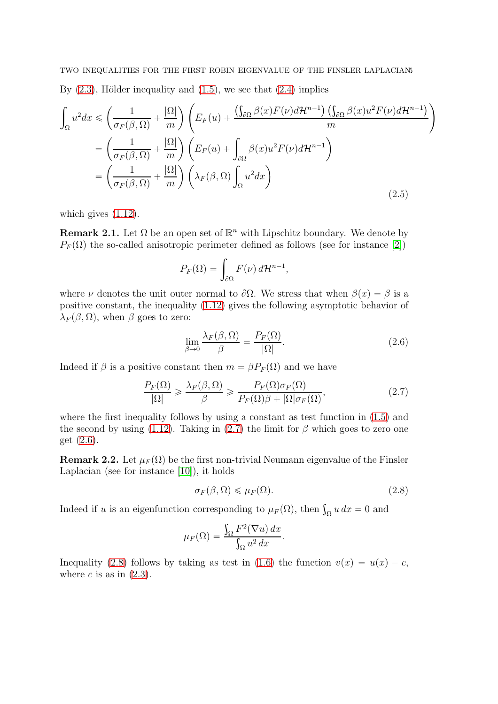$$
\int_{\Omega} u^2 dx \le \left(\frac{1}{\sigma_F(\beta,\Omega)} + \frac{|\Omega|}{m}\right) \left(E_F(u) + \frac{\left(\int_{\partial\Omega} \beta(x)F(\nu)d\mathcal{H}^{n-1}\right)\left(\int_{\partial\Omega} \beta(x)u^2F(\nu)d\mathcal{H}^{n-1}\right)}{m}\right)
$$
\n
$$
= \left(\frac{1}{\sigma_F(\beta,\Omega)} + \frac{|\Omega|}{m}\right) \left(E_F(u) + \int_{\partial\Omega} \beta(x)u^2F(\nu)d\mathcal{H}^{n-1}\right)
$$
\n
$$
= \left(\frac{1}{\sigma_F(\beta,\Omega)} + \frac{|\Omega|}{m}\right) \left(\lambda_F(\beta,\Omega)\int_{\Omega} u^2 dx\right)
$$
\n(2.5)

which gives  $(1.12)$ .

**Remark 2.1.** Let  $\Omega$  be an open set of  $\mathbb{R}^n$  with Lipschitz boundary. We denote by  $P_F(\Omega)$  the so-called anisotropic perimeter defined as follows (see for instance [\[2\]](#page-7-18))

$$
P_F(\Omega) = \int_{\partial \Omega} F(\nu) d\mathcal{H}^{n-1},
$$

where  $\nu$  denotes the unit outer normal to  $\partial\Omega$ . We stress that when  $\beta(x) = \beta$  is a positive constant, the inequality [\(1.12\)](#page-2-0) gives the following asymptotic behavior of  $\lambda_F(\beta, \Omega)$ , when  $\beta$  goes to zero:

<span id="page-4-1"></span>
$$
\lim_{\beta \to 0} \frac{\lambda_F(\beta, \Omega)}{\beta} = \frac{P_F(\Omega)}{|\Omega|}.
$$
\n(2.6)

Indeed if  $\beta$  is a positive constant then  $m = \beta P_F(\Omega)$  and we have

<span id="page-4-0"></span>
$$
\frac{P_F(\Omega)}{|\Omega|} \geq \frac{\lambda_F(\beta, \Omega)}{\beta} \geq \frac{P_F(\Omega)\sigma_F(\Omega)}{P_F(\Omega)\beta + |\Omega|\sigma_F(\Omega)},\tag{2.7}
$$

where the first inequality follows by using a constant as test function in [\(1.5\)](#page-1-2) and the second by using [\(1.12\)](#page-2-0). Taking in [\(2.7\)](#page-4-0) the limit for  $\beta$  which goes to zero one get [\(2.6\)](#page-4-1).

**Remark 2.2.** Let  $\mu_F(\Omega)$  be the first non-trivial Neumann eigenvalue of the Finsler Laplacian (see for instance [\[10\]](#page-7-19)), it holds

<span id="page-4-2"></span>
$$
\sigma_F(\beta, \Omega) \leqslant \mu_F(\Omega). \tag{2.8}
$$

Indeed if u is an eigenfunction corresponding to  $\mu_F(\Omega)$ , then  $\int_{\Omega} u \, dx = 0$  and

$$
\mu_F(\Omega) = \frac{\int_{\Omega} F^2(\nabla u) \, dx}{\int_{\Omega} u^2 \, dx}.
$$

Inequality [\(2.8\)](#page-4-2) follows by taking as test in [\(1.6\)](#page-1-1) the function  $v(x) = u(x) - c$ , where c is as in  $(2.3)$ .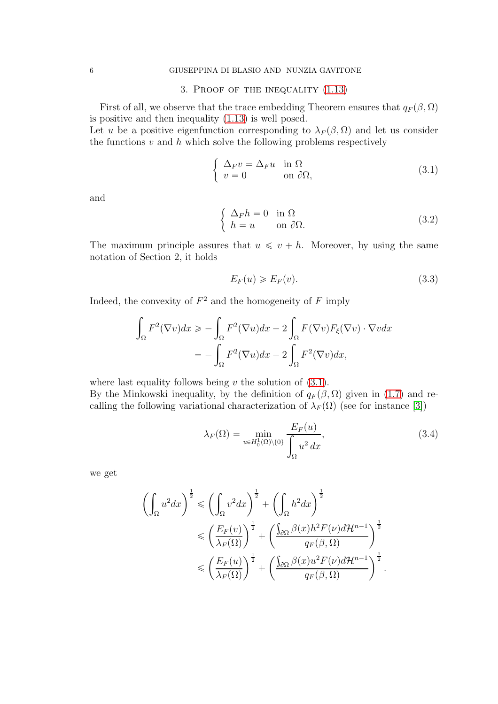# 3. Proof of the inequality [\(1.13\)](#page-2-1)

First of all, we observe that the trace embedding Theorem ensures that  $q_F(\beta, \Omega)$ is positive and then inequality [\(1.13\)](#page-2-1) is well posed.

Let u be a positive eigenfunction corresponding to  $\lambda_F(\beta, \Omega)$  and let us consider the functions  $v$  and  $h$  which solve the following problems respectively

<span id="page-5-0"></span>
$$
\begin{cases}\n\Delta_F v = \Delta_F u & \text{in } \Omega \\
v = 0 & \text{on } \partial\Omega,\n\end{cases}
$$
\n(3.1)

and

$$
\begin{cases} \Delta_F h = 0 & \text{in } \Omega \\ h = u & \text{on } \partial\Omega. \end{cases}
$$
 (3.2)

The maximum principle assures that  $u \le v + h$ . Moreover, by using the same notation of Section 2, it holds

$$
E_F(u) \ge E_F(v). \tag{3.3}
$$

Indeed, the convexity of  $F^2$  and the homogeneity of  $F$  imply

$$
\int_{\Omega} F^{2}(\nabla v) dx \geq -\int_{\Omega} F^{2}(\nabla u) dx + 2 \int_{\Omega} F(\nabla v) F_{\xi}(\nabla v) \cdot \nabla v dx
$$

$$
= -\int_{\Omega} F^{2}(\nabla u) dx + 2 \int_{\Omega} F^{2}(\nabla v) dx,
$$

where last equality follows being  $v$  the solution of  $(3.1)$ . By the Minkowski inequality, by the definition of  $q_F(\beta, \Omega)$  given in [\(1.7\)](#page-1-3) and recalling the following variational characterization of  $\lambda_F(\Omega)$  (see for instance [\[3\]](#page-7-1))

$$
\lambda_F(\Omega) = \min_{u \in H_0^1(\Omega) \setminus \{0\}} \frac{E_F(u)}{\int_{\Omega} u^2 dx},\tag{3.4}
$$

.

we get

$$
\left(\int_{\Omega} u^2 dx\right)^{\frac{1}{2}} \leq \left(\int_{\Omega} v^2 dx\right)^{\frac{1}{2}} + \left(\int_{\Omega} h^2 dx\right)^{\frac{1}{2}}
$$

$$
\leq \left(\frac{E_F(v)}{\lambda_F(\Omega)}\right)^{\frac{1}{2}} + \left(\frac{\int_{\partial\Omega} \beta(x)h^2 F(\nu) d\mathcal{H}^{n-1}}{q_F(\beta, \Omega)}\right)^{\frac{1}{2}}
$$

$$
\leq \left(\frac{E_F(u)}{\lambda_F(\Omega)}\right)^{\frac{1}{2}} + \left(\frac{\int_{\partial\Omega} \beta(x)u^2 F(\nu) d\mathcal{H}^{n-1}}{q_F(\beta, \Omega)}\right)^{\frac{1}{2}}
$$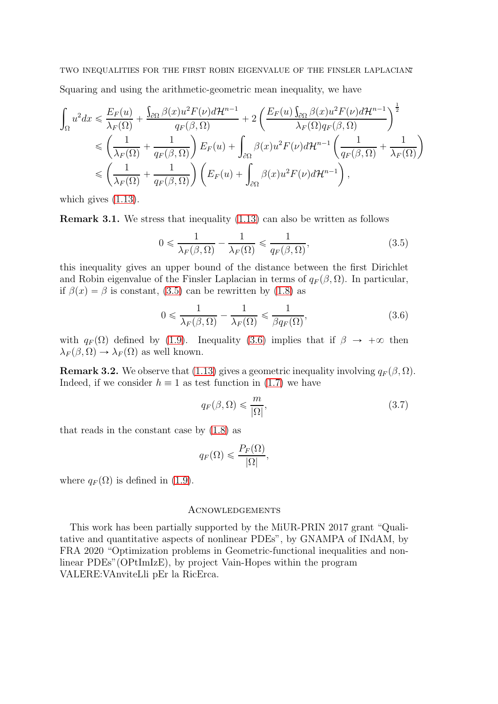Squaring and using the arithmetic-geometric mean inequality, we have

$$
\int_{\Omega} u^2 dx \leqslant \frac{E_F(u)}{\lambda_F(\Omega)} + \frac{\int_{\partial\Omega} \beta(x)u^2 F(\nu) d\mathcal{H}^{n-1}}{q_F(\beta,\Omega)} + 2\left(\frac{E_F(u)\int_{\partial\Omega} \beta(x)u^2 F(\nu) d\mathcal{H}^{n-1}}{\lambda_F(\Omega)q_F(\beta,\Omega)}\right)^{\frac{1}{2}} \\
\leqslant \left(\frac{1}{\lambda_F(\Omega)} + \frac{1}{q_F(\beta,\Omega)}\right) E_F(u) + \int_{\partial\Omega} \beta(x)u^2 F(\nu) d\mathcal{H}^{n-1}\left(\frac{1}{q_F(\beta,\Omega)} + \frac{1}{\lambda_F(\Omega)}\right) \\
\leqslant \left(\frac{1}{\lambda_F(\Omega)} + \frac{1}{q_F(\beta,\Omega)}\right) \left(E_F(u) + \int_{\partial\Omega} \beta(x)u^2 F(\nu) d\mathcal{H}^{n-1}\right),
$$

which gives [\(1.13\)](#page-2-1).

Remark 3.1. We stress that inequality [\(1.13\)](#page-2-1) can also be written as follows

<span id="page-6-0"></span>
$$
0 \leqslant \frac{1}{\lambda_F(\beta,\Omega)} - \frac{1}{\lambda_F(\Omega)} \leqslant \frac{1}{q_F(\beta,\Omega)},\tag{3.5}
$$

this inequality gives an upper bound of the distance between the first Dirichlet and Robin eigenvalue of the Finsler Laplacian in terms of  $q_F(\beta, \Omega)$ . In particular, if  $\beta(x) = \beta$  is constant, [\(3.5\)](#page-6-0) can be rewritten by [\(1.8\)](#page-1-4) as

<span id="page-6-1"></span>
$$
0 \leqslant \frac{1}{\lambda_F(\beta,\Omega)} - \frac{1}{\lambda_F(\Omega)} \leqslant \frac{1}{\beta q_F(\Omega)},\tag{3.6}
$$

with  $q_F(\Omega)$  defined by [\(1.9\)](#page-1-5). Inequality [\(3.6\)](#page-6-1) implies that if  $\beta \to +\infty$  then  $\lambda_F(\beta, \Omega) \rightarrow \lambda_F(\Omega)$  as well known.

**Remark 3.2.** We observe that [\(1.13\)](#page-2-1) gives a geometric inequality involving  $q_F(\beta, \Omega)$ . Indeed, if we consider  $h \equiv 1$  as test function in [\(1.7\)](#page-1-3) we have

$$
q_F(\beta,\Omega) \leq \frac{m}{|\Omega|},\tag{3.7}
$$

that reads in the constant case by [\(1.8\)](#page-1-4) as

$$
q_F(\Omega) \leqslant \frac{P_F(\Omega)}{|\Omega|},
$$

where  $q_F(\Omega)$  is defined in [\(1.9\)](#page-1-5).

### **ACNOWLEDGEMENTS**

This work has been partially supported by the MiUR-PRIN 2017 grant "Qualitative and quantitative aspects of nonlinear PDEs", by GNAMPA of INdAM, by FRA 2020 "Optimization problems in Geometric-functional inequalities and nonlinear PDEs"(OPtImIzE), by project Vain-Hopes within the program VALERE:VAnviteLli pEr la RicErca.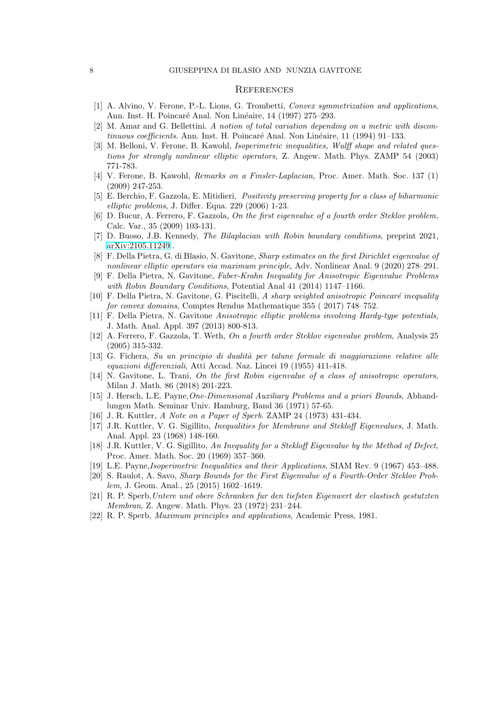#### **REFERENCES**

- <span id="page-7-0"></span>[1] A. Alvino, V. Ferone, P.-L. Lions, G. Trombetti, Convex symmetrization and applications, Ann. Inst. H. Poincaré Anal. Non Linéaire, 14 (1997) 275–293.
- <span id="page-7-18"></span>[2] M. Amar and G. Bellettini. A notion of total variation depending on a metric with discontinuous coefficients. Ann. Inst. H. Poincaré Anal. Non Linéaire, 11 (1994) 91–133.
- <span id="page-7-1"></span>[3] M. Belloni, V. Ferone, B. Kawohl, Isoperimetric inequalities, Wulff shape and related questions for strongly nonlinear elliptic operators, Z. Angew. Math. Phys. ZAMP 54 (2003) 771-783.
- <span id="page-7-2"></span>[4] V. Ferone, B. Kawohl, Remarks on a Finsler-Laplacian, Proc. Amer. Math. Soc. 137 (1) (2009) 247-253.
- <span id="page-7-13"></span>[5] E. Berchio, F. Gazzola, E. Mitidieri, Positivity preserving property for a class of biharmonic elliptic problems, J. Differ. Equa. 229 (2006) 1-23.
- <span id="page-7-10"></span>[6] D. Bucur, A. Ferrero, F. Gazzola, On the first eigenvalue of a fourth order Steklov problem, Calc. Var., 35 (2009) 103-131.
- <span id="page-7-14"></span><span id="page-7-3"></span>[7] D. Buoso, J.B. Kennedy, The Bilaplacian with Robin boundary conditions, preprint 2021, [arXiv:2105.11249](http://arxiv.org/abs/2105.11249) .
- [8] F. Della Pietra, G. di Blasio, N. Gavitone, Sharp estimates on the first Dirichlet eigenvalue of nonlinear elliptic operators via maximum principle, Adv. Nonlinear Anal. 9 (2020) 278–291.
- <span id="page-7-6"></span>[9] F. Della Pietra, N. Gavitone, Faber-Krahn Inequality for Anisotropic Eigenvalue Problems with Robin Boundary Conditions, Potential Anal 41 (2014) 1147-1166.
- <span id="page-7-19"></span>[10] F. Della Pietra, N. Gavitone, G. Piscitelli, A sharp weighted anisotropic Poincaré inequality for convex domains, Comptes Rendus Mathematique 355 ( 2017) 748–752.
- <span id="page-7-4"></span>[11] F. Della Pietra, N. Gavitone Anisotropic elliptic problems involving Hardy-type potentials, J. Math. Anal. Appl. 397 (2013) 800-813.
- <span id="page-7-11"></span>[12] A. Ferrero, F. Gazzola, T. Weth, On a fourth order Steklov eigenvalue problem, Analysis 25 (2005) 315-332.
- [13] G. Fichera, Su un principio di dualità per talune formule di maggiorazione relative alle equazioni differenziali, Atti Accad. Naz. Lincei 19 (1955) 411-418.
- <span id="page-7-5"></span>[14] N. Gavitone, L. Trani, On the first Robin eigenvalue of a class of anisotropic operators, Milan J. Math. 86 (2018) 201-223.
- <span id="page-7-15"></span>[15] J. Hersch, L.E. Payne,One-Dimensional Auxiliary Problems and a priori Bounds, Abhandlungen Math. Seminar Univ. Hamburg, Band 36 (1971) 57-65.
- <span id="page-7-8"></span><span id="page-7-7"></span>[16] J. R. Kuttler, A Note on a Paper of Sperb. ZAMP 24 (1973) 431-434.
- [17] J.R. Kuttler, V. G. Sigillito, Inequalities for Membrane and Stekloff Eigenvalues, J. Math. Anal. Appl. 23 (1968) 148-160.
- <span id="page-7-9"></span>[18] J.R. Kuttler, V. G. Sigillito, An Inequality for a Stekloff Eigenvalue by the Method of Defect, Proc. Amer. Math. Soc. 20 (1969) 357–360.
- <span id="page-7-12"></span>[19] L.E. Payne,Isoperimetric Inequalities and their Applications, SIAM Rev. 9 (1967) 453–488.
- [20] S. Raulot, A. Savo, Sharp Bounds for the First Eigenvalue of a Fourth-Order Steklov Problem, J. Geom. Anal., 25 (2015) 1602–1619.
- <span id="page-7-16"></span>[21] R. P. Sperb,Untere und obere Schranken fur den tiefsten Eigenwert der elastisch gestutzten Membran, Z. Angew. Math. Phys. 23 (1972) 231–244.
- <span id="page-7-17"></span>[22] R. P. Sperb, Maximum principles and applications, Academic Press, 1981.